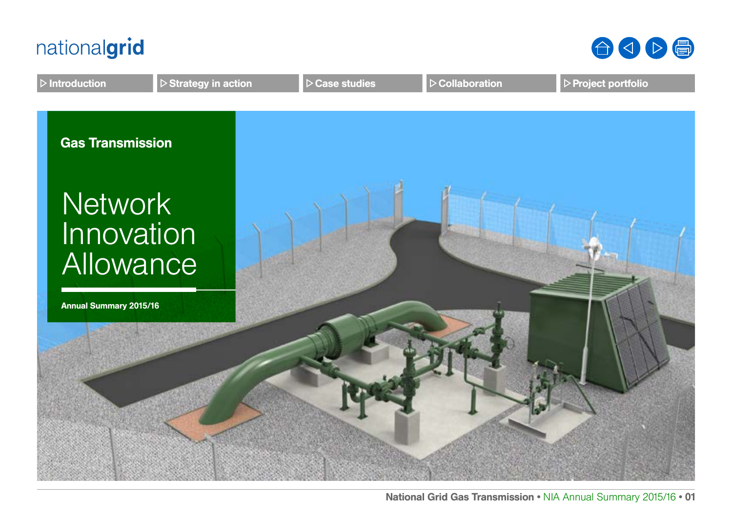



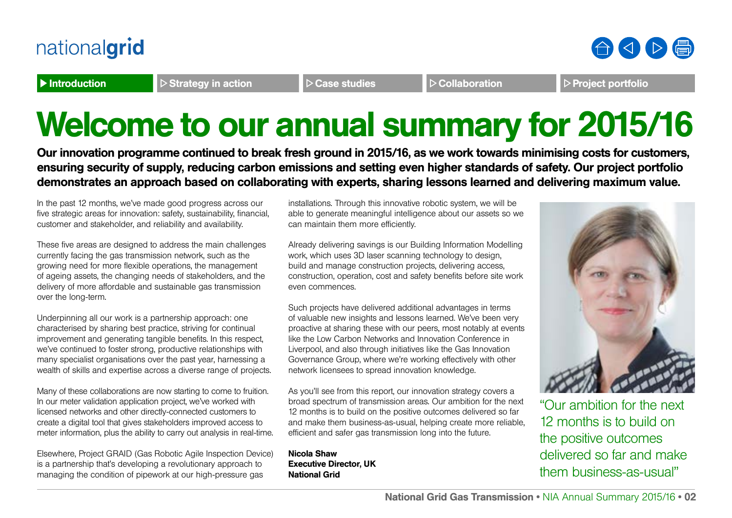

Introduction Introduction Case Studies Case studies Collaboration Project portfolio

合くト骨

# Welcome to our annual summary for 2015/16

Our innovation programme continued to break fresh ground in 2015/16, as we work towards minimising costs for customers, ensuring security of supply, reducing carbon emissions and setting even higher standards of safety. Our project portfolio demonstrates an approach based on collaborating with experts, sharing lessons learned and delivering maximum value.

In the past 12 months, we've made good progress across our five strategic areas for innovation: safety, sustainability, financial, customer and stakeholder, and reliability and availability.

These five areas are designed to address the main challenges currently facing the gas transmission network, such as the growing need for more flexible operations, the management of ageing assets, the changing needs of stakeholders, and the delivery of more affordable and sustainable gas transmission over the long-term.

Underpinning all our work is a partnership approach: one characterised by sharing best practice, striving for continual improvement and generating tangible benefits. In this respect, we've continued to foster strong, productive relationships with many specialist organisations over the past year, harnessing a wealth of skills and expertise across a diverse range of projects.

Many of these collaborations are now starting to come to fruition. In our meter validation application project, we've worked with licensed networks and other directly-connected customers to create a digital tool that gives stakeholders improved access to meter information, plus the ability to carry out analysis in real-time.

Elsewhere, Project GRAID (Gas Robotic Agile Inspection Device) is a partnership that's developing a revolutionary approach to managing the condition of pipework at our high-pressure gas

installations. Through this innovative robotic system, we will be able to generate meaningful intelligence about our assets so we can maintain them more efficiently.

Already delivering savings is our Building Information Modelling work, which uses 3D laser scanning technology to design, build and manage construction projects, delivering access, construction, operation, cost and safety benefits before site work even commences.

Such projects have delivered additional advantages in terms of valuable new insights and lessons learned. We've been very proactive at sharing these with our peers, most notably at events like the Low Carbon Networks and Innovation Conference in Liverpool, and also through initiatives like the Gas Innovation Governance Group, where we're working effectively with other network licensees to spread innovation knowledge.

As you'll see from this report, our innovation strategy covers a broad spectrum of transmission areas. Our ambition for the next 12 months is to build on the positive outcomes delivered so far and make them business-as-usual, helping create more reliable, efficient and safer gas transmission long into the future.

Nicola Shaw Executive Director, UK National Grid



"Our ambition for the next 12 months is to build on the positive outcomes delivered so far and make them business-as-usual"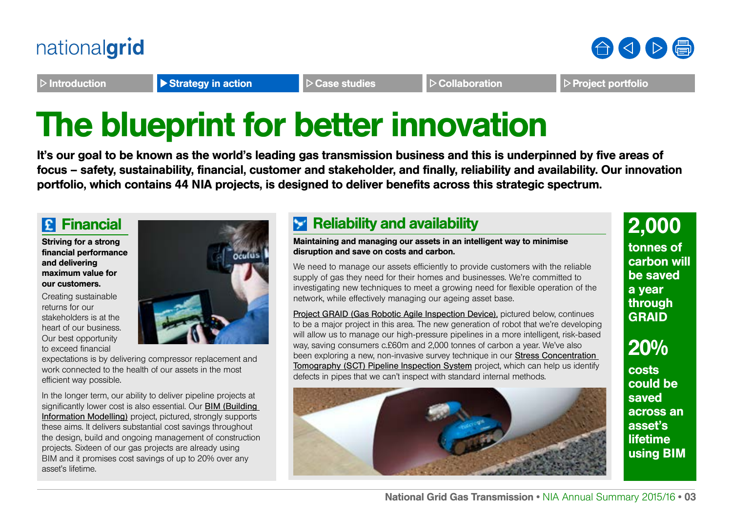

Introduction **Introduction** Strategy in action  $\triangleright$  Case studies **Post Collaboration** Project portfolio

# The blueprint for better innovation

It's our goal to be known as the world's leading gas transmission business and this is underpinned by five areas of focus – safety, sustainability, financial, customer and stakeholder, and finally, reliability and availability. Our innovation portfolio, which contains 44 NIA projects, is designed to deliver benefits across this strategic spectrum.

### **Financial**

Striving for a strong financial performance and delivering maximum value for our customers.

Creating sustainable returns for our stakeholders is at the heart of our business. Our best opportunity to exceed financial



expectations is by delivering compressor replacement and work connected to the health of our assets in the most efficient way possible.

In the longer term, our ability to deliver pipeline projects at significantly lower cost is also essential. Our BIM (Building [Information Modelling\)](http://www2.nationalgrid.com/UK/Our-company/Innovation/Gas-transmission-innovation/NIA-Projects/NIA_NGGT0024/) project, pictured, strongly supports these aims. It delivers substantial cost savings throughout the design, build and ongoing management of construction projects. Sixteen of our gas projects are already using BIM and it promises cost savings of up to 20% over any asset's lifetime.

### **Reliability and availability**

#### Maintaining and managing our assets in an intelligent way to minimise disruption and save on costs and carbon.

We need to manage our assets efficiently to provide customers with the reliable supply of gas they need for their homes and businesses. We're committed to investigating new techniques to meet a growing need for flexible operation of the network, while effectively managing our ageing asset base.

[Project GRAID \(Gas Robotic Agile Inspection Device\)](http://www.nationalgridconnecting.com/Robotic_innovation/), pictured below, continues to be a major project in this area. The new generation of robot that we're developing will allow us to manage our high-pressure pipelines in a more intelligent, risk-based way, saving consumers c.£60m and 2,000 tonnes of carbon a year. We've also been exploring a new, non-invasive survey technique in our **[Stress Concentration](http://www.smarternetworks.org/Project.aspx?ProjectID=1388)** Tomography (SCT) Pipeline Inspection System project, which can help us identify defects in pipes that we can't inspect with standard internal methods.



### 2,000

tonnes of carbon will be saved a year through **GRAID** 

### 20%

costs could be saved across an asset's lifetime using BIM

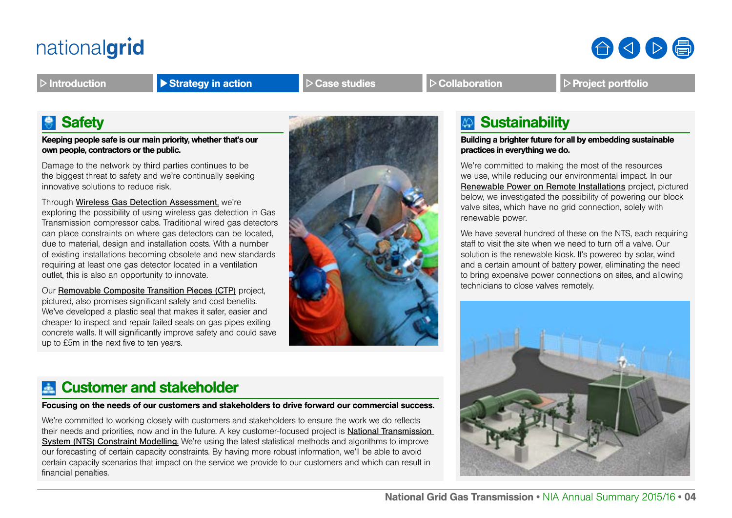

Introduction **Introduction** Strategy in action  $\triangleright$  Case studies **Post Collaboration** Project portfolio

### **Safety**

Keeping people safe is our main priority, whether that's our own people, contractors or the public.

Damage to the network by third parties continues to be the biggest threat to safety and we're continually seeking innovative solutions to reduce risk.

Through [Wireless Gas Detection Assessment](http://www.smarternetworks.org/Project.aspx?ProjectID=1498), we're exploring the possibility of using wireless gas detection in Gas Transmission compressor cabs. Traditional wired gas detectors can place constraints on where gas detectors can be located, due to material, design and installation costs. With a number of existing installations becoming obsolete and new standards requiring at least one gas detector located in a ventilation outlet, this is also an opportunity to innovate.

Our [Removable Composite Transition Pieces \(CTP](http://www.smarternetworks.org/Project.aspx?ProjectID=1239)) project, pictured, also promises significant safety and cost benefits. We've developed a plastic seal that makes it safer, easier and cheaper to inspect and repair failed seals on gas pipes exiting concrete walls. It will significantly improve safety and could save up to £5m in the next five to ten years.



### **Sustainability**

Building a brighter future for all by embedding sustainable practices in everything we do.

We're committed to making the most of the resources we use, while reducing our environmental impact. In our [Renewable Power on Remote Installations](http://www.smarternetworks.org/Project.aspx?ProjectID=1577) project, pictured below, we investigated the possibility of powering our block valve sites, which have no grid connection, solely with renewable power.

We have several hundred of these on the NTS, each requiring staff to visit the site when we need to turn off a valve. Our solution is the renewable kiosk. It's powered by solar, wind and a certain amount of battery power, eliminating the need to bring expensive power connections on sites, and allowing technicians to close valves remotely.



### Customer and stakeholder

### Focusing on the needs of our customers and stakeholders to drive forward our commercial success.

We're committed to working closely with customers and stakeholders to ensure the work we do reflects their needs and priorities, now and in the future. A key customer-focused project is [National Transmission](http://www.smarternetworks.org/Project.aspx?ProjectID=1502)  [System \(NTS\) Constraint Modelling](http://www.smarternetworks.org/Project.aspx?ProjectID=1502). We're using the latest statistical methods and algorithms to improve our forecasting of certain capacity constraints. By having more robust information, we'll be able to avoid certain capacity scenarios that impact on the service we provide to our customers and which can result in financial penalties.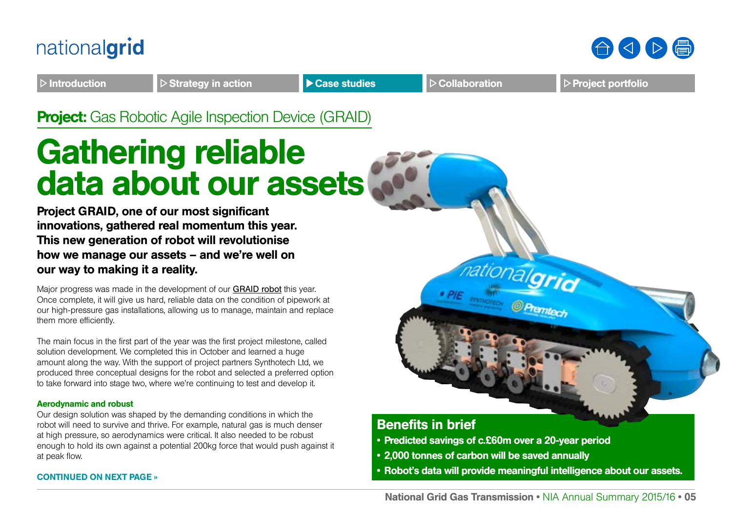



Introduction **Introduction D** Strategy in action **Case studies Collaboration Project portfolio** 

**Project:** Gas Robotic Agile Inspection Device (GRAID)

# Gathering reliable data about our assets

Project GRAID, one of our most significant innovations, gathered real momentum this year. This new generation of robot will revolutionise how we manage our assets – and we're well on our way to making it a reality.

Major progress was made in the development of our [GRAID robot](http://www.nationalgridconnecting.com/Robotic_innovation/) this year. Once complete, it will give us hard, reliable data on the condition of pipework at our high-pressure gas installations, allowing us to manage, maintain and replace them more efficiently.

The main focus in the first part of the year was the first project milestone, called solution development. We completed this in October and learned a huge amount along the way. With the support of project partners Synthotech Ltd, we produced three conceptual designs for the robot and selected a preferred option to take forward into stage two, where we're continuing to test and develop it.

#### Aerodynamic and robust

Our design solution was shaped by the demanding conditions in which the robot will need to survive and thrive. For example, natural gas is much denser at high pressure, so aerodynamics were critical. It also needed to be robust enough to hold its own against a potential 200kg force that would push against it at peak flow.

### CONTINUED ON NEXT PAGE »



- Predicted savings of c.£60m over a 20-year period
- 2,000 tonnes of carbon will be saved annually
- Robot's data will provide meaningful intelligence about our assets.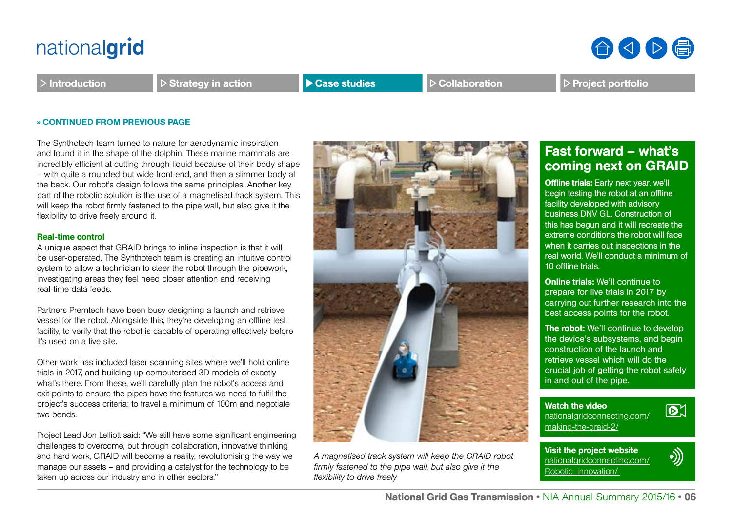Introduction  $\Box$  Strategy in action **Department Case studies** Prollaboration Project portfolio

#### » CONTINUED FROM PREVIOUS PAGE

The Synthotech team turned to nature for aerodynamic inspiration and found it in the shape of the dolphin. These marine mammals are incredibly efficient at cutting through liquid because of their body shape – with quite a rounded but wide front-end, and then a slimmer body at the back. Our robot's design follows the same principles. Another key part of the robotic solution is the use of a magnetised track system. This will keep the robot firmly fastened to the pipe wall, but also give it the flexibility to drive freely around it.

#### Real-time control

A unique aspect that GRAID brings to inline inspection is that it will be user-operated. The Synthotech team is creating an intuitive control system to allow a technician to steer the robot through the pipework, investigating areas they feel need closer attention and receiving real-time data feeds.

Partners Premtech have been busy designing a launch and retrieve vessel for the robot. Alongside this, they're developing an offline test facility, to verify that the robot is capable of operating effectively before it's used on a live site.

Other work has included laser scanning sites where we'll hold online trials in 2017, and building up computerised 3D models of exactly what's there. From these, we'll carefully plan the robot's access and exit points to ensure the pipes have the features we need to fulfil the project's success criteria: to travel a minimum of 100m and negotiate two bends.

Project Lead Jon Lelliott said: "We still have some significant engineering challenges to overcome, but through collaboration, innovative thinking and hard work, GRAID will become a reality, revolutionising the way we manage our assets – and providing a catalyst for the technology to be taken up across our industry and in other sectors."



### Fast forward – what's coming next on GRAID

**Offline trials:** Early next year, we'll begin testing the robot at an offline facility developed with advisory business DNV GL. Construction of this has begun and it will recreate the extreme conditions the robot will face when it carries out inspections in the real world. We'll conduct a minimum of 10 offline trials.

Online trials: We'll continue to prepare for live trials in 2017 by carrying out further research into the best access points for the robot.

The robot: We'll continue to develop the device's subsystems, and begin construction of the launch and retrieve vessel which will do the crucial job of getting the robot safely in and out of the pipe.

Watch the video [nationalgridconnecting.com/](http://www.nationalgridconnecting.com/making-the-graid-2/) [making-the-graid-2/](http://www.nationalgridconnecting.com/making-the-graid-2/)

Visit the project website [nationalgridconnecting.com/](http://www.nationalgridconnecting.com/Robotic_innovation/) [Robotic\\_innovation/](http://www.nationalgridconnecting.com/Robotic_innovation/) 



 $\boxed{\odot}$ 



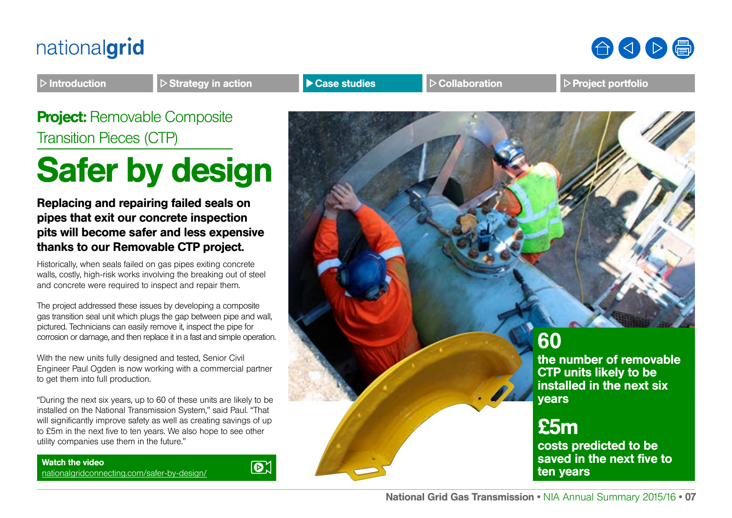

Introduction  $\Box$  Strategy in action **Department Case studies** Prollaboration Project portfolio

**Project: Removable Composite** Transition Pieces (CTP)

# Safer by design

Replacing and repairing failed seals on pipes that exit our concrete inspection pits will become safer and less expensive thanks to our Removable CTP project.

Historically, when seals failed on gas pipes exiting concrete walls, costly, high-risk works involving the breaking out of steel and concrete were required to inspect and repair them.

The project addressed these issues by developing a composite gas transition seal unit which plugs the gap between pipe and wall, pictured. Technicians can easily remove it, inspect the pipe for corrosion or damage, and then replace it in a fast and simple operation.

With the new units fully designed and tested, Senior Civil Engineer Paul Ogden is now working with a commercial partner to get them into full production.

"During the next six years, up to 60 of these units are likely to be installed on the National Transmission System," said Paul. "That will significantly improve safety as well as creating savings of up to £5m in the next five to ten years. We also hope to see other utility companies use them in the future."

Watch the video [nationalgridconnecting.com/safer-by-design/](http://www.nationalgridconnecting.com/safer-by-design/)



60

the number of removable CTP units likely to be installed in the next six years

### £5m

costs predicted to be saved in the next five to ten years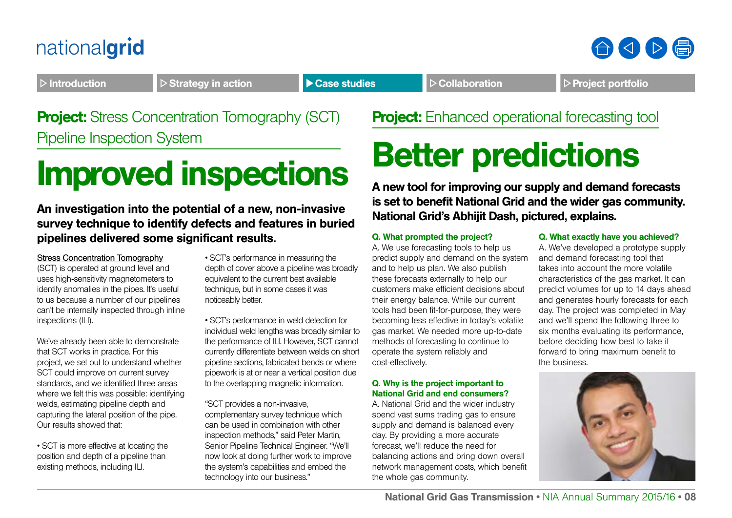## 合くト骨

Introduction  $\Box$  Strategy in action  $\Box$  Case studies  $\Box$  Collaboration  $\Box$  Project portfolio

### **Project:** Stress Concentration Tomography (SCT) Pipeline Inspection System

# Improved inspections

An investigation into the potential of a new, non-invasive survey technique to identify defects and features in buried pipelines delivered some significant results.

[Stress Concentration Tomography](http://www.smarternetworks.org/Project.aspx?ProjectID=1388) (SCT) is operated at ground level and uses high-sensitivity magnetometers to identify anomalies in the pipes. It's useful to us because a number of our pipelines can't be internally inspected through inline inspections (ILI).

We've already been able to demonstrate that SCT works in practice. For this project, we set out to understand whether SCT could improve on current survey standards, and we identified three areas where we felt this was possible: identifying welds, estimating pipeline depth and capturing the lateral position of the pipe. Our results showed that:

• SCT is more effective at locating the position and depth of a pipeline than existing methods, including ILI.

• SCT's performance in measuring the depth of cover above a pipeline was broadly equivalent to the current best available technique, but in some cases it was noticeably better.

• SCT's performance in weld detection for individual weld lengths was broadly similar to the performance of ILI. However, SCT cannot currently differentiate between welds on short pipeline sections, fabricated bends or where pipework is at or near a vertical position due to the overlapping magnetic information.

"SCT provides a non-invasive, complementary survey technique which can be used in combination with other inspection methods," said Peter Martin, Senior Pipeline Technical Engineer. "We'll now look at doing further work to improve the system's capabilities and embed the technology into our business."

**Project:** Enhanced operational forecasting tool

# Better predictions

A new tool for improving our supply and demand forecasts is set to benefit National Grid and the wider gas community. National Grid's Abhijit Dash, pictured, explains.

### Q. What prompted the project?

A. We use forecasting tools to help us predict supply and demand on the system and to help us plan. We also publish these forecasts externally to help our customers make efficient decisions about their energy balance. While our current tools had been fit-for-purpose, they were becoming less effective in today's volatile gas market. We needed more up-to-date methods of forecasting to continue to operate the system reliably and cost-effectively.

### Q. Why is the project important to National Grid and end consumers?

A. National Grid and the wider industry spend vast sums trading gas to ensure supply and demand is balanced every day. By providing a more accurate forecast, we'll reduce the need for balancing actions and bring down overall network management costs, which benefit the whole gas community.

### Q. What exactly have you achieved?

A. We've developed a prototype supply and demand forecasting tool that takes into account the more volatile characteristics of the gas market. It can predict volumes for up to 14 days ahead and generates hourly forecasts for each day. The project was completed in May and we'll spend the following three to six months evaluating its performance, before deciding how best to take it forward to bring maximum benefit to the business.

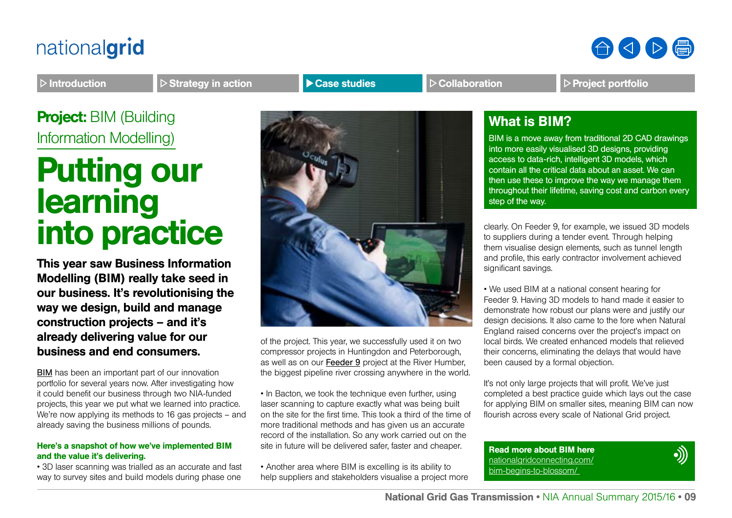

Introduction  $\Box$  Strategy in action **Project Assesses Case studies** Prollaboration **Project portfolio** 

**Project: BIM (Building)** Information Modelling)

## Putting our learning into practice

This year saw Business Information Modelling (BIM) really take seed in our business. It's revolutionising the way we design, build and manage construction projects – and it's already delivering value for our business and end consumers.

[BIM](http://www.nationalgridconnecting.com/bim-begins-to-blossom/) has been an important part of our innovation portfolio for several years now. After investigating how it could benefit our business through two NIA-funded projects, this year we put what we learned into practice. We're now applying its methods to 16 gas projects – and already saving the business millions of pounds.

#### Here's a snapshot of how we've implemented BIM and the value it's delivering.

• 3D laser scanning was trialled as an accurate and fast way to survey sites and build models during phase one



of the project. This year, we successfully used it on two compressor projects in Huntingdon and Peterborough, as well as on our [Feeder 9](http://www.nationalgridconnecting.com/going-underground/) project at the River Humber, the biggest pipeline river crossing anywhere in the world.

• In Bacton, we took the technique even further, using laser scanning to capture exactly what was being built on the site for the first time. This took a third of the time of more traditional methods and has given us an accurate record of the installation. So any work carried out on the site in future will be delivered safer, faster and cheaper.

• Another area where BIM is excelling is its ability to help suppliers and stakeholders visualise a project more

### What is BIM?

BIM is a move away from traditional 2D CAD drawings into more easily visualised 3D designs, providing access to data-rich, intelligent 3D models, which contain all the critical data about an asset. We can then use these to improve the way we manage them throughout their lifetime, saving cost and carbon every step of the way.

clearly. On Feeder 9, for example, we issued 3D models to suppliers during a tender event. Through helping them visualise design elements, such as tunnel length and profile, this early contractor involvement achieved significant savings.

• We used BIM at a national consent hearing for Feeder 9. Having 3D models to hand made it easier to demonstrate how robust our plans were and justify our design decisions. It also came to the fore when Natural England raised concerns over the project's impact on local birds. We created enhanced models that relieved their concerns, eliminating the delays that would have been caused by a formal objection.

It's not only large projects that will profit. We've just completed a best practice guide which lays out the case for applying BIM on smaller sites, meaning BIM can now flourish across every scale of National Grid project.

Read more about BIM here [nationalgridconnecting.com/](http://www.nationalgridconnecting.com/bim-begins-to-blossom/) [bim-begins-to-blossom/](http://www.nationalgridconnecting.com/bim-begins-to-blossom/) 

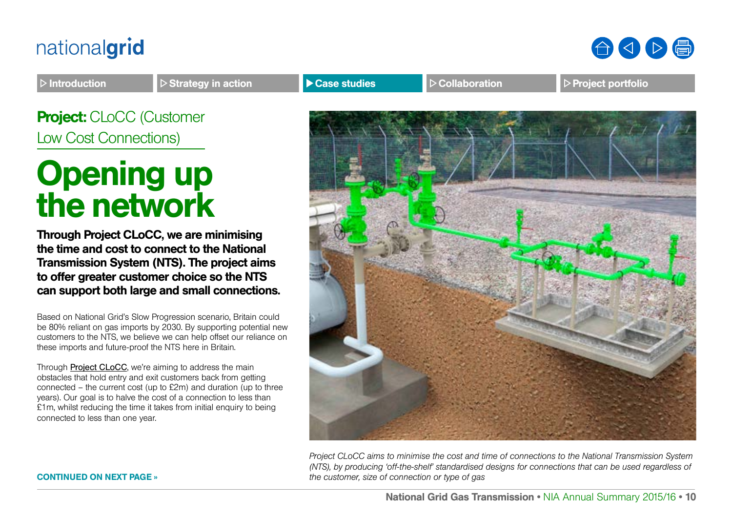

Introduction **Strategy in action Case studies Case Studies Collaboration Project portfolio** 

Project: CLoCC (Customer Low Cost Connections)

# Opening up the network

Through Project CLoCC, we are minimising the time and cost to connect to the National Transmission System (NTS). The project aims to offer greater customer choice so the NTS can support both large and small connections.

Based on National Grid's Slow Progression scenario, Britain could be 80% reliant on gas imports by 2030. By supporting potential new customers to the NTS, we believe we can help offset our reliance on these imports and future-proof the NTS here in Britain.

Through [Project CLoCC](http://projectclocc.com/), we're aiming to address the main obstacles that hold entry and exit customers back from getting connected – the current cost (up to £2m) and duration (up to three years). Our goal is to halve the cost of a connection to less than £1m, whilst reducing the time it takes from initial enquiry to being connected to less than one year.



*Project CLoCC aims to minimise the cost and time of connections to the National Transmission System (NTS), by producing 'off-the-shelf' standardised designs for connections that can be used regardless of the customer, size of connection or type of gas*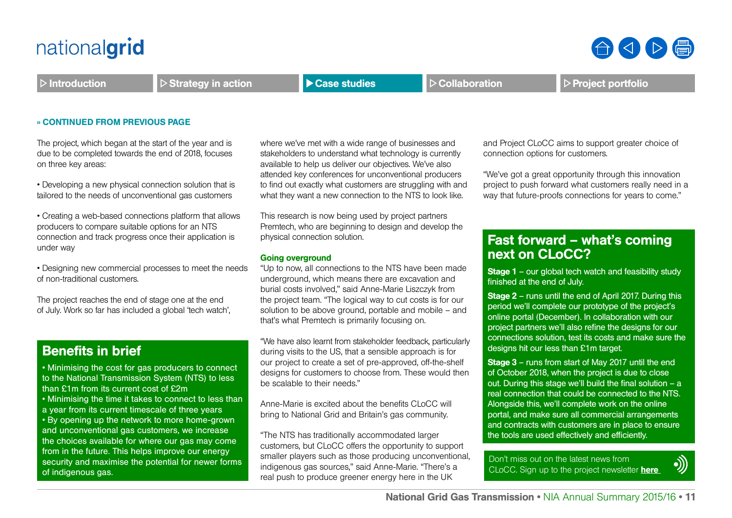$\triangleright$  Introduction  $\triangleright$  Strategy in action  $\triangleright$  Case studies  $\triangleright$  Collaboration  $\triangleright$  Project portfolio

#### » CONTINUED FROM PREVIOUS PAGE

The project, which began at the start of the year and is due to be completed towards the end of 2018, focuses on three key areas:

• Developing a new physical connection solution that is tailored to the needs of unconventional gas customers

• Creating a web-based connections platform that allows producers to compare suitable options for an NTS connection and track progress once their application is under way

• Designing new commercial processes to meet the needs of non-traditional customers.

The project reaches the end of stage one at the end of July. Work so far has included a global 'tech watch',

### Benefits in brief

• Minimising the cost for gas producers to connect to the National Transmission System (NTS) to less than £1m from its current cost of £2m

• Minimising the time it takes to connect to less than a year from its current timescale of three years

• By opening up the network to more home-grown and unconventional gas customers, we increase the choices available for where our gas may come from in the future. This helps improve our energy security and maximise the potential for newer forms of indigenous gas.

where we've met with a wide range of businesses and stakeholders to understand what technology is currently available to help us deliver our objectives. We've also attended key conferences for unconventional producers to find out exactly what customers are struggling with and what they want a new connection to the NTS to look like.

This research is now being used by project partners Premtech, who are beginning to design and develop the physical connection solution.

#### Going overground

"Up to now, all connections to the NTS have been made underground, which means there are excavation and burial costs involved," said Anne-Marie Liszczyk from the project team. "The logical way to cut costs is for our solution to be above ground, portable and mobile – and that's what Premtech is primarily focusing on.

"We have also learnt from stakeholder feedback, particularly during visits to the US, that a sensible approach is for our project to create a set of pre-approved, off-the-shelf designs for customers to choose from. These would then be scalable to their needs."

Anne-Marie is excited about the benefits CLoCC will bring to National Grid and Britain's gas community.

"The NTS has traditionally accommodated larger customers, but CLoCC offers the opportunity to support smaller players such as those producing unconventional, indigenous gas sources," said Anne-Marie. "There's a real push to produce greener energy here in the UK

and Project CLoCC aims to support greater choice of connection options for customers.

"We've got a great opportunity through this innovation project to push forward what customers really need in a way that future-proofs connections for years to come."

### Fast forward – what's coming next on CLoCC?

Stage 1 – our global tech watch and feasibility study finished at the end of July.

Stage 2 – runs until the end of April 2017. During this period we'll complete our prototype of the project's online portal (December). In collaboration with our project partners we'll also refine the designs for our connections solution, test its costs and make sure the designs hit our less than £1m target.

Stage 3 – runs from start of May 2017 until the end of October 2018, when the project is due to close out. During this stage we'll build the final solution – a real connection that could be connected to the NTS. Alongside this, we'll complete work on the online portal, and make sure all commercial arrangements and contracts with customers are in place to ensure the tools are used effectively and efficiently.

Don't miss out on the latest news from CLoCC. Sign up to the project newsletter **here** 

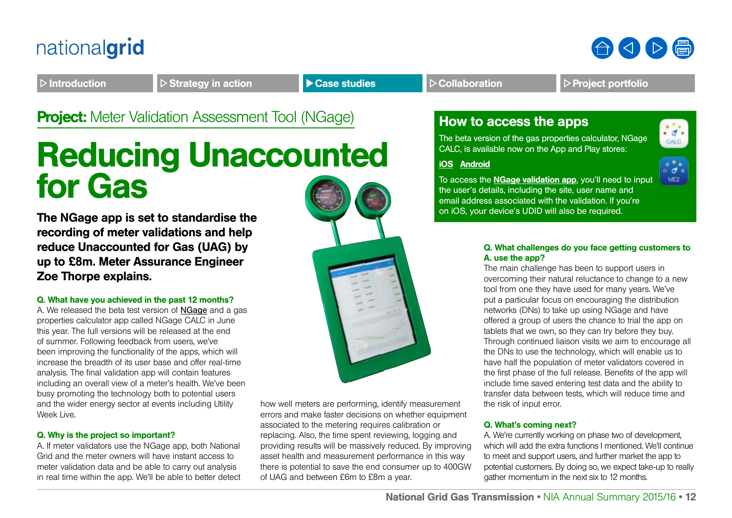

**Project:** Meter Validation Assessment Tool (NGage) **How to access the apps** 

## Reducing Unaccounted for Gas

The NGage app is set to standardise the recording of meter validations and help reduce Unaccounted for Gas (UAG) by up to £8m. Meter Assurance Engineer Zoe Thorpe explains.

### Q. What have you achieved in the past 12 months?

A. We released the beta test version of [NGage](http://www.smarternetworks.org/Project.aspx?ProjectID=1618) and a gas properties calculator app called NGage CALC in June this year. The full versions will be released at the end of summer. Following feedback from users, we've been improving the functionality of the apps, which will increase the breadth of its user base and offer real-time analysis. The final validation app will contain features including an overall view of a meter's health. We've been busy promoting the technology both to potential users and the wider energy sector at events including Utility Week Live.

### Q. Why is the project so important?

A. If meter validators use the NGage app, both National Grid and the meter owners will have instant access to meter validation data and be able to carry out analysis in real time within the app. We'll be able to better detect



how well meters are performing, identify measurement errors and make faster decisions on whether equipment associated to the metering requires calibration or replacing. Also, the time spent reviewing, logging and providing results will be massively reduced. By improving asset health and measurement performance in this way there is potential to save the end consumer up to 400GW of UAG and between £6m to £8m a year.

The beta version of the gas properties calculator, NGage CALC, is available now on the App and Play stores:

[iOS](https://itunes.apple.com/us/app/ngagecalc/id1057132203?mt=8) [Android](https://play.google.com/store/apps/details?id=com.ng.ngagecalc)



CALC.

To access the [NGage validation app](http://www2.nationalgrid.com/uk/Industry-information/Gas-transmission-system-operations/Balancing/Meter-Validation-App/), you'll need to input the user's details, including the site, user name and email address associated with the validation. If you're on iOS, your device's UDID will also be required.

### Q. What challenges do you face getting customers to A. use the app?

The main challenge has been to support users in overcoming their natural reluctance to change to a new tool from one they have used for many years. We've put a particular focus on encouraging the distribution networks (DNs) to take up using NGage and have offered a group of users the chance to trial the app on tablets that we own, so they can try before they buy. Through continued liaison visits we aim to encourage all the DNs to use the technology, which will enable us to have half the population of meter validators covered in the first phase of the full release. Benefits of the app will include time saved entering test data and the ability to transfer data between tests, which will reduce time and the risk of input error.

### Q. What's coming next?

A. We're currently working on phase two of development, which will add the extra functions I mentioned. We'll continue to meet and support users, and further market the app to potential customers. By doing so, we expect take-up to really gather momentum in the next six to 12 months.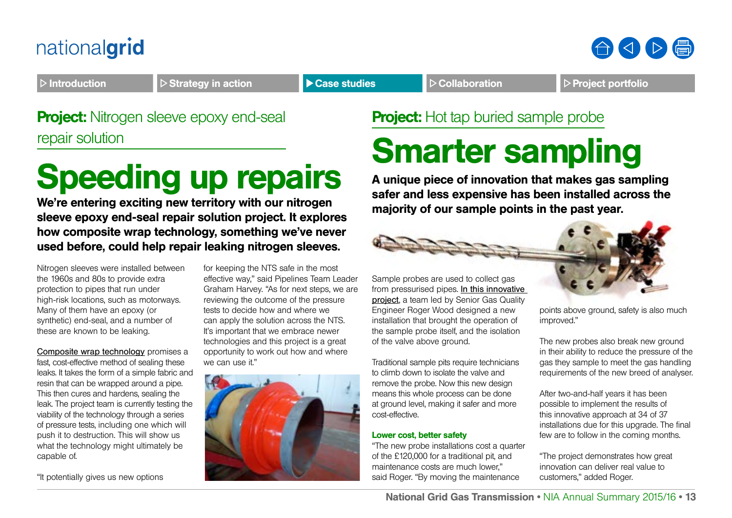

Introduction  $\Box$  Strategy in action **Department Case studies** Prollaboration Project portfolio

### **Project:** Nitrogen sleeve epoxy end-seal repair solution

# Speeding up repairs

We're entering exciting new territory with our nitrogen sleeve epoxy end-seal repair solution project. It explores how composite wrap technology, something we've never used before, could help repair leaking nitrogen sleeves.

Nitrogen sleeves were installed between the 1960s and 80s to provide extra protection to pipes that run under high-risk locations, such as motorways. Many of them have an epoxy (or synthetic) end-seal, and a number of these are known to be leaking.

[Composite wrap technology](http://www.smarternetworks.org/Project.aspx?ProjectID=1855) promises a fast, cost-effective method of sealing these leaks. It takes the form of a simple fabric and resin that can be wrapped around a pipe. This then cures and hardens, sealing the leak. The project team is currently testing the viability of the technology through a series of pressure tests, including one which will push it to destruction. This will show us what the technology might ultimately be capable of.

"It potentially gives us new options

for keeping the NTS safe in the most effective way," said Pipelines Team Leader Graham Harvey. "As for next steps, we are reviewing the outcome of the pressure tests to decide how and where we can apply the solution across the NTS. It's important that we embrace newer technologies and this project is a great opportunity to work out how and where we can use it."



### **Project:** Hot tap buried sample probe

# Smarter sampling

A unique piece of innovation that makes gas sampling safer and less expensive has been installed across the majority of our sample points in the past year.



Sample probes are used to collect gas from pressurised pipes. [In this innovative](http://www.smarternetworks.org/Project.aspx?ProjectID=1243)  [project](http://www.smarternetworks.org/Project.aspx?ProjectID=1243), a team led by Senior Gas Quality Engineer Roger Wood designed a new installation that brought the operation of the sample probe itself, and the isolation of the valve above ground.

Traditional sample pits require technicians to climb down to isolate the valve and remove the probe. Now this new design means this whole process can be done at ground level, making it safer and more cost-effective.

### Lower cost, better safety

"The new probe installations cost a quarter of the £120,000 for a traditional pit, and maintenance costs are much lower," said Roger. "By moving the maintenance

points above ground, safety is also much improved."

The new probes also break new ground in their ability to reduce the pressure of the gas they sample to meet the gas handling requirements of the new breed of analyser.

After two-and-half years it has been possible to implement the results of this innovative approach at 34 of 37 installations due for this upgrade. The final few are to follow in the coming months.

"The project demonstrates how great innovation can deliver real value to customers," added Roger.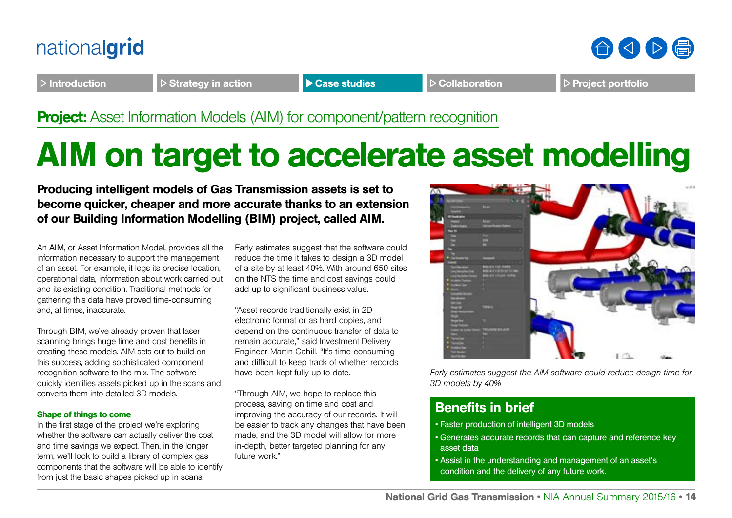



Introduction  $\Box$  Strategy in action **Department Case studies** Prollaboration Project portfolio

### **Project:** Asset Information Models (AIM) for component/pattern recognition

# AIM on target to accelerate asset modelling

Producing intelligent models of Gas Transmission assets is set to become quicker, cheaper and more accurate thanks to an extension of our Building Information Modelling (BIM) project, called AIM.

An [AIM](http://www.smarternetworks.org/Project.aspx?ProjectID=1892), or Asset Information Model, provides all the information necessary to support the management of an asset. For example, it logs its precise location, operational data, information about work carried out and its existing condition. Traditional methods for gathering this data have proved time-consuming and, at times, inaccurate.

Through BIM, we've already proven that laser scanning brings huge time and cost benefits in creating these models. AIM sets out to build on this success, adding sophisticated component recognition software to the mix. The software quickly identifies assets picked up in the scans and converts them into detailed 3D models.

#### Shape of things to come

In the first stage of the project we're exploring whether the software can actually deliver the cost and time savings we expect. Then, in the longer term, we'll look to build a library of complex gas components that the software will be able to identify from just the basic shapes picked up in scans.

Early estimates suggest that the software could reduce the time it takes to design a 3D model of a site by at least 40%. With around 650 sites on the NTS the time and cost savings could add up to significant business value.

"Asset records traditionally exist in 2D electronic format or as hard copies, and depend on the continuous transfer of data to remain accurate," said Investment Delivery Engineer Martin Cahill. "It's time-consuming and difficult to keep track of whether records have been kept fully up to date.

"Through AIM, we hope to replace this process, saving on time and cost and improving the accuracy of our records. It will be easier to track any changes that have been made, and the 3D model will allow for more in-depth, better targeted planning for any future work."



*Early estimates suggest the AIM software could reduce design time for 3D models by 40%*

### Benefits in brief

- Faster production of intelligent 3D models
- Generates accurate records that can capture and reference key asset data
- Assist in the understanding and management of an asset's condition and the delivery of any future work.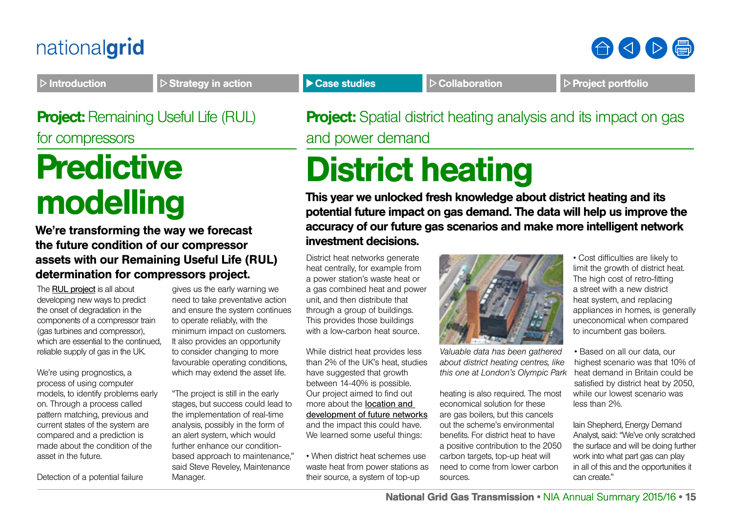

Introduction  $\Box$  Strategy in action  $\Box$  Case studies  $\Box$  Collaboration  $\Box$  Project portfolio

**Project: Remaining Useful Life (RUL)** for compressors

# **Predictive** modelling

We're transforming the way we forecast the future condition of our compressor assets with our Remaining Useful Life (RUL) determination for compressors project.

The [RUL project](http://www.smarternetworks.org/Project.aspx?ProjectID=1778) is all about developing new ways to predict the onset of degradation in the components of a compressor train (gas turbines and compressor), which are essential to the continued. reliable supply of gas in the UK.

We're using prognostics, a process of using computer models, to identify problems early on. Through a process called pattern matching, previous and current states of the system are compared and a prediction is made about the condition of the asset in the future.

Detection of a potential failure

gives us the early warning we need to take preventative action and ensure the system continues to operate reliably, with the minimum impact on customers. It also provides an opportunity to consider changing to more favourable operating conditions, which may extend the asset life.

"The project is still in the early stages, but success could lead to the implementation of real-time analysis, possibly in the form of an alert system, which would further enhance our conditionbased approach to maintenance," said Steve Reveley, Maintenance Manager.

**Project:** Spatial district heating analysis and its impact on gas and power demand

# District heating

This year we unlocked fresh knowledge about district heating and its potential future impact on gas demand. The data will help us improve the accuracy of our future gas scenarios and make more intelligent network investment decisions.

District heat networks generate heat centrally, for example from a power station's waste heat or a gas combined heat and power unit, and then distribute that through a group of buildings. This provides those buildings with a low-carbon heat source.

While district heat provides less than 2% of the UK's heat, studies have suggested that growth between 14-40% is possible. Our project aimed to find out more about the [location and](http://www.smarternetworks.org/Project.aspx?ProjectID=1787)  [development of future networks](http://www.smarternetworks.org/Project.aspx?ProjectID=1787) and the impact this could have. We learned some useful things:

• When district heat schemes use waste heat from power stations as their source, a system of top-up



*Valuable data has been gathered about district heating centres, like this one at London's Olympic Park*

heating is also required. The most economical solution for these are gas boilers, but this cancels out the scheme's environmental benefits. For district heat to have a positive contribution to the 2050 carbon targets, top-up heat will need to come from lower carbon sources.

• Cost difficulties are likely to limit the growth of district heat. The high cost of retro-fitting a street with a new district heat system, and replacing appliances in homes, is generally uneconomical when compared to incumbent gas boilers.

• Based on all our data, our highest scenario was that 10% of heat demand in Britain could be satisfied by district heat by 2050, while our lowest scenario was less than 2%.

Iain Shepherd, Energy Demand Analyst, said: "We've only scratched the surface and will be doing further work into what part gas can play in all of this and the opportunities it can create."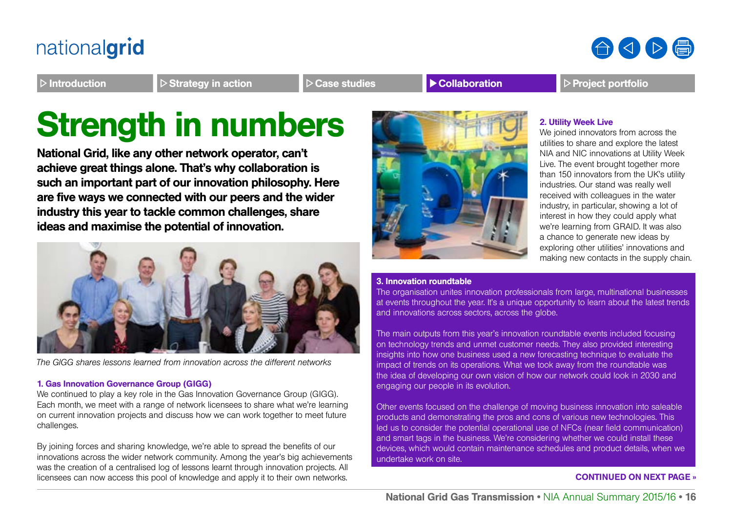合くト骨

### Introduction **Introduction D** Strategy in action **CALCASE EXECUTE:** Project portfolio

# Strength in numbers **2. Utility Week Live**

National Grid, like any other network operator, can't achieve great things alone. That's why collaboration is such an important part of our innovation philosophy. Here are five ways we connected with our peers and the wider industry this year to tackle common challenges, share ideas and maximise the potential of innovation.



*The GIGG shares lessons learned from innovation across the different networks*

### 1. Gas Innovation Governance Group (GIGG)

We continued to play a key role in the Gas Innovation Governance Group (GIGG). Each month, we meet with a range of network licensees to share what we're learning on current innovation projects and discuss how we can work together to meet future challenges.

By joining forces and sharing knowledge, we're able to spread the benefits of our innovations across the wider network community. Among the year's big achievements was the creation of a centralised log of lessons learnt through innovation projects. All licensees can now access this pool of knowledge and apply it to their own networks.



We joined innovators from across the utilities to share and explore the latest NIA and NIC innovations at Utility Week Live. The event brought together more than 150 innovators from the UK's utility industries. Our stand was really well received with colleagues in the water industry, in particular, showing a lot of interest in how they could apply what we're learning from GRAID. It was also a chance to generate new ideas by exploring other utilities' innovations and making new contacts in the supply chain.

#### 3. Innovation roundtable

The organisation unites innovation professionals from large, multinational businesses at events throughout the year. It's a unique opportunity to learn about the latest trends and innovations across sectors, across the globe.

The main outputs from this year's innovation roundtable events included focusing on technology trends and unmet customer needs. They also provided interesting insights into how one business used a new forecasting technique to evaluate the impact of trends on its operations. What we took away from the roundtable was the idea of developing our own vision of how our network could look in 2030 and engaging our people in its evolution.

Other events focused on the challenge of moving business innovation into saleable products and demonstrating the pros and cons of various new technologies. This led us to consider the potential operational use of NFCs (near field communication) and smart tags in the business. We're considering whether we could install these devices, which would contain maintenance schedules and product details, when we undertake work on site.

### CONTINUED ON NEXT PAGE »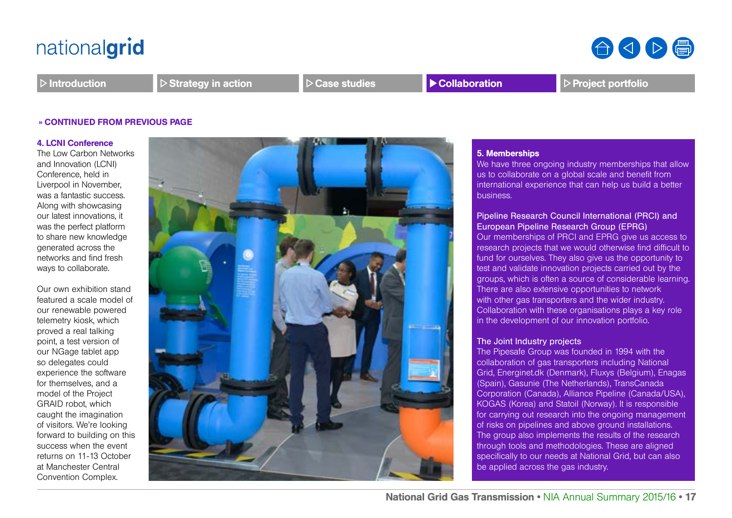合くり骨

 $\triangleright$  Introduction  $\triangleright$  Strategy in action  $\triangleright$  Case studies **Profolio** Project portfolio

#### » CONTINUED FROM PREVIOUS PAGE

#### 4. LCNI Conference

The Low Carbon Networks and Innovation (LCNI) Conference, held in Liverpool in November, was a fantastic success. Along with showcasing our latest innovations, it was the perfect platform to share new knowledge generated across the networks and find fresh ways to collaborate.

Our own exhibition stand featured a scale model of our renewable powered telemetry kiosk, which proved a real talking point, a test version of our NGage tablet app so delegates could experience the software for themselves, and a model of the Project GRAID robot, which caught the imagination of visitors. We're looking forward to building on this success when the event returns on 11-13 October at Manchester Central Convention Complex.



#### 5. Memberships

We have three ongoing industry memberships that allow us to collaborate on a global scale and benefit from international experience that can help us build a better business.

### Pipeline Research Council International (PRCI) and European Pipeline Research Group (EPRG)

Our memberships of PRCI and EPRG give us access to research projects that we would otherwise find difficult to fund for ourselves. They also give us the opportunity to test and validate innovation projects carried out by the groups, which is often a source of considerable learning. There are also extensive opportunities to network with other gas transporters and the wider industry. Collaboration with these organisations plays a key role in the development of our innovation portfolio.

#### The Joint Industry projects

The Pipesafe Group was founded in 1994 with the collaboration of gas transporters including National Grid, Energinet.dk (Denmark), Fluxys (Belgium), Enagas (Spain), Gasunie (The Netherlands), TransCanada Corporation (Canada), Alliance Pipeline (Canada/USA), KOGAS (Korea) and Statoil (Norway). It is responsible for carrying out research into the ongoing management of risks on pipelines and above ground installations. The group also implements the results of the research through tools and methodologies. These are aligned specifically to our needs at National Grid, but can also be applied across the gas industry.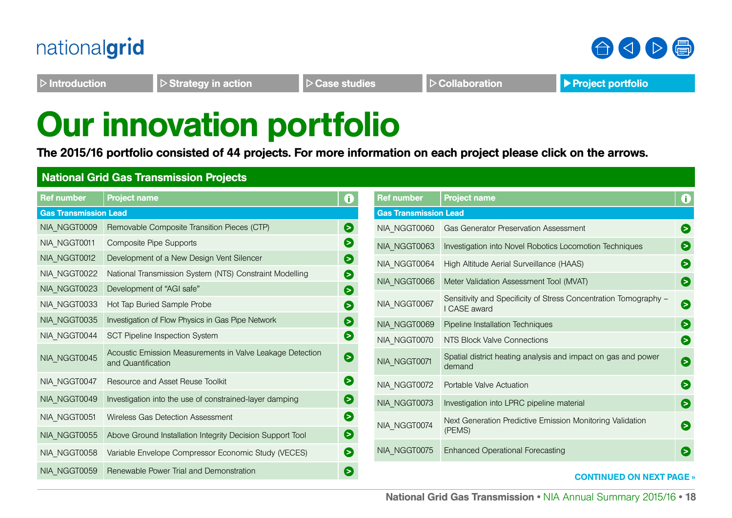

合くト信

 $\triangleright$  Introduction  $\triangleright$  Strategy in action  $\triangleright$  Case studies  $\triangleright$  Collaboration **Project portfolio** 

# Our innovation portfolio

The 2015/16 portfolio consisted of 44 projects. For more information on each project please click on the arrows.

### National Grid Gas Transmission Projects

| <b>Ref number</b>                                                                               | <b>Project name</b><br>0                                                        |                              | <b>Ref number</b> | <b>Project name</b>                                                              | $\mathbf 0$ |
|-------------------------------------------------------------------------------------------------|---------------------------------------------------------------------------------|------------------------------|-------------------|----------------------------------------------------------------------------------|-------------|
| <b>Gas Transmission Lead</b>                                                                    |                                                                                 | <b>Gas Transmission Lead</b> |                   |                                                                                  |             |
| NIA_NGGT0009                                                                                    | Removable Composite Transition Pieces (CTP)                                     | $\bullet$                    | NIA NGGT0060      | <b>Gas Generator Preservation Assessment</b>                                     | 0           |
| NIA_NGGT0011                                                                                    | <b>Composite Pipe Supports</b>                                                  | $\bullet$                    | NIA NGGT0063      | Investigation into Novel Robotics Locomotion Techniques                          | €           |
| NIA_NGGT0012                                                                                    | Development of a New Design Vent Silencer                                       | $\bullet$                    | NIA_NGGT0064      | High Altitude Aerial Surveillance (HAAS)                                         | $\bullet$   |
| NIA_NGGT0022                                                                                    | National Transmission System (NTS) Constraint Modelling                         | $\bullet$                    |                   |                                                                                  |             |
| NIA_NGGT0023                                                                                    | Development of "AGI safe"                                                       | $\bullet$                    | NIA_NGGT0066      | Meter Validation Assessment Tool (MVAT)                                          | €           |
| NIA_NGGT0033                                                                                    | Hot Tap Buried Sample Probe                                                     | 6                            | NIA_NGGT0067      | Sensitivity and Specificity of Stress Concentration Tomography -<br>I CASE award | $\bullet$   |
| NIA_NGGT0035                                                                                    | Investigation of Flow Physics in Gas Pipe Network                               | €                            | NIA_NGGT0069      | Pipeline Installation Techniques                                                 | 0           |
| NIA_NGGT0044                                                                                    | <b>SCT Pipeline Inspection System</b>                                           | $\bullet$                    | NIA NGGT0070      | NTS Block Valve Connections                                                      | 0           |
| NIA_NGGT0045                                                                                    | Acoustic Emission Measurements in Valve Leakage Detection<br>and Quantification | $\bullet$                    | NIA_NGGT0071      | Spatial district heating analysis and impact on gas and power<br>demand          | €           |
| NIA_NGGT0047                                                                                    | Resource and Asset Reuse Toolkit                                                | $\bullet$                    | NIA NGGT0072      | Portable Valve Actuation                                                         | $\bullet$   |
| NIA_NGGT0049                                                                                    | Investigation into the use of constrained-layer damping                         | $\bullet$                    | NIA_NGGT0073      | Investigation into LPRC pipeline material                                        | €           |
| NIA_NGGT0051                                                                                    | Wireless Gas Detection Assessment                                               | €                            | NIA_NGGT0074      | Next Generation Predictive Emission Monitoring Validation                        | €           |
| NIA_NGGT0055                                                                                    | Above Ground Installation Integrity Decision Support Tool                       | Θ                            |                   | (PEMS)                                                                           |             |
| NIA_NGGT0058                                                                                    | Variable Envelope Compressor Economic Study (VECES)                             | 6                            | NIA_NGGT0075      | <b>Enhanced Operational Forecasting</b>                                          | Θ           |
| Renewable Power Trial and Demonstration<br>Θ<br>NIA NGGT0059<br><b>CONTINUED ON NEXT PAGE »</b> |                                                                                 |                              |                   |                                                                                  |             |